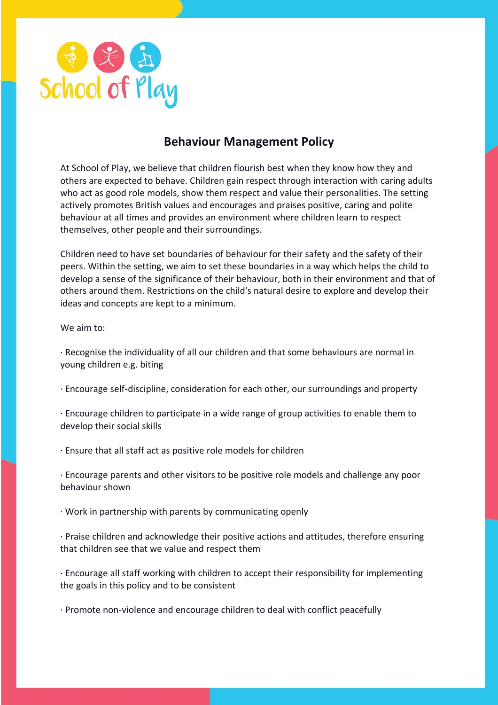

# **Behaviour Management Policy**

At School of Play, we believe that children flourish best when they know how they and others are expected to behave. Children gain respect through interaction with caring adults who act as good role models, show them respect and value their personalities. The setting actively promotes British values and encourages and praises positive, caring and polite behaviour at all times and provides an environment where children learn to respect themselves, other people and their surroundings.

Children need to have set boundaries of behaviour for their safety and the safety of their peers. Within the setting, we aim to set these boundaries in a way which helps the child to develop a sense of the significance of their behaviour, both in their environment and that of others around them. Restrictions on the child's natural desire to explore and develop their ideas and concepts are kept to a minimum.

### We aim to:

· Recognise the individuality of all our children and that some behaviours are normal in young children e.g. biting

- · Encourage self-discipline, consideration for each other, our surroundings and property
- · Encourage children to participate in a wide range of group activities to enable them to develop their social skills
- · Ensure that all staff act as positive role models for children

· Encourage parents and other visitors to be positive role models and challenge any poor behaviour shown

· Work in partnership with parents by communicating openly

· Praise children and acknowledge their positive actions and attitudes, therefore ensuring that children see that we value and respect them

· Encourage all staff working with children to accept their responsibility for implementing the goals in this policy and to be consistent

· Promote non-violence and encourage children to deal with conflict peacefully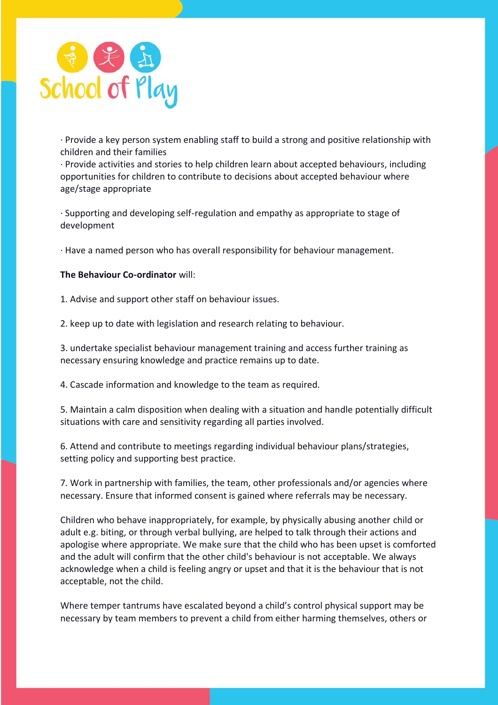

· Provide a key person system enabling staff to build a strong and positive relationship with children and their families

· Provide activities and stories to help children learn about accepted behaviours, including opportunities for children to contribute to decisions about accepted behaviour where age/stage appropriate

· Supporting and developing self-regulation and empathy as appropriate to stage of development

· Have a named person who has overall responsibility for behaviour management.

### **The Behaviour Co-ordinator** will:

1. Advise and support other staff on behaviour issues.

2. keep up to date with legislation and research relating to behaviour.

3. undertake specialist behaviour management training and access further training as necessary ensuring knowledge and practice remains up to date.

4. Cascade information and knowledge to the team as required.

5. Maintain a calm disposition when dealing with a situation and handle potentially difficult situations with care and sensitivity regarding all parties involved.

6. Attend and contribute to meetings regarding individual behaviour plans/strategies, setting policy and supporting best practice.

7. Work in partnership with families, the team, other professionals and/or agencies where necessary. Ensure that informed consent is gained where referrals may be necessary.

Children who behave inappropriately, for example, by physically abusing another child or adult e.g. biting, or through verbal bullying, are helped to talk through their actions and apologise where appropriate. We make sure that the child who has been upset is comforted and the adult will confirm that the other child's behaviour is not acceptable. We always acknowledge when a child is feeling angry or upset and that it is the behaviour that is not acceptable, not the child.

Where temper tantrums have escalated beyond a child's control physical support may be necessary by team members to prevent a child from either harming themselves, others or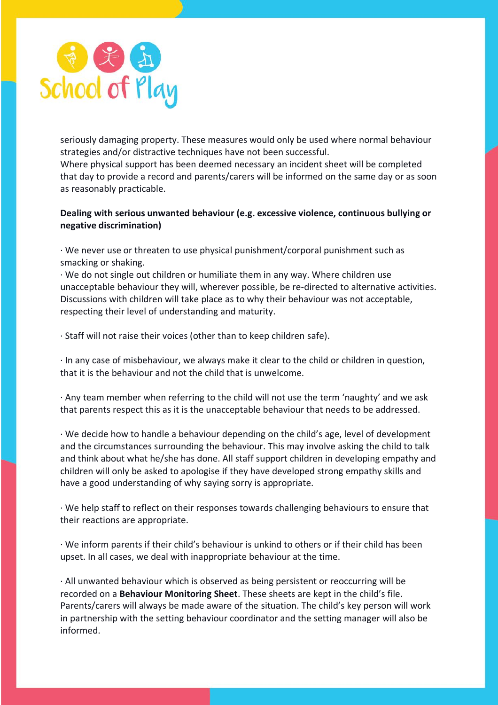

seriously damaging property. These measures would only be used where normal behaviour strategies and/or distractive techniques have not been successful.

Where physical support has been deemed necessary an incident sheet will be completed that day to provide a record and parents/carers will be informed on the same day or as soon as reasonably practicable.

## **Dealing with serious unwanted behaviour (e.g. excessive violence, continuous bullying or negative discrimination)**

· We never use or threaten to use physical punishment/corporal punishment such as smacking or shaking.

· We do not single out children or humiliate them in any way. Where children use unacceptable behaviour they will, wherever possible, be re-directed to alternative activities. Discussions with children will take place as to why their behaviour was not acceptable, respecting their level of understanding and maturity.

· Staff will not raise their voices (other than to keep children safe).

· In any case of misbehaviour, we always make it clear to the child or children in question, that it is the behaviour and not the child that is unwelcome.

· Any team member when referring to the child will not use the term 'naughty' and we ask that parents respect this as it is the unacceptable behaviour that needs to be addressed.

· We decide how to handle a behaviour depending on the child's age, level of development and the circumstances surrounding the behaviour. This may involve asking the child to talk and think about what he/she has done. All staff support children in developing empathy and children will only be asked to apologise if they have developed strong empathy skills and have a good understanding of why saying sorry is appropriate.

· We help staff to reflect on their responses towards challenging behaviours to ensure that their reactions are appropriate.

· We inform parents if their child's behaviour is unkind to others or if their child has been upset. In all cases, we deal with inappropriate behaviour at the time.

· All unwanted behaviour which is observed as being persistent or reoccurring will be recorded on a **Behaviour Monitoring Sheet**. These sheets are kept in the child's file. Parents/carers will always be made aware of the situation. The child's key person will work in partnership with the setting behaviour coordinator and the setting manager will also be informed.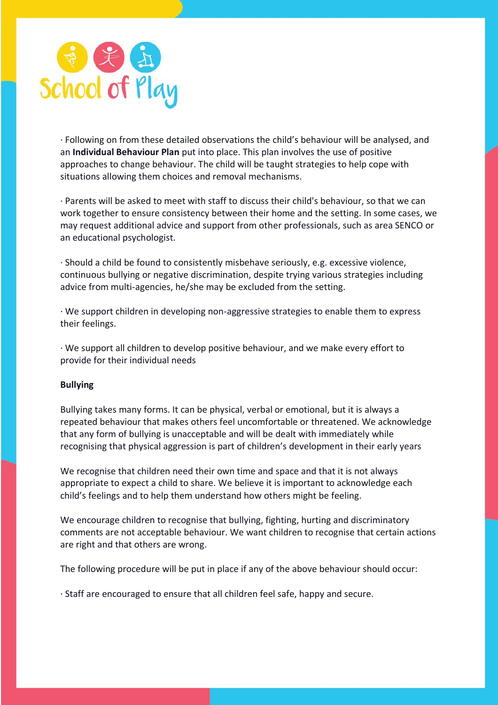

· Following on from these detailed observations the child's behaviour will be analysed, and an **Individual Behaviour Plan** put into place. This plan involves the use of positive approaches to change behaviour. The child will be taught strategies to help cope with situations allowing them choices and removal mechanisms.

· Parents will be asked to meet with staff to discuss their child's behaviour, so that we can work together to ensure consistency between their home and the setting. In some cases, we may request additional advice and support from other professionals, such as area SENCO or an educational psychologist.

· Should a child be found to consistently misbehave seriously, e.g. excessive violence, continuous bullying or negative discrimination, despite trying various strategies including advice from multi-agencies, he/she may be excluded from the setting.

· We support children in developing non-aggressive strategies to enable them to express their feelings.

· We support all children to develop positive behaviour, and we make every effort to provide for their individual needs

### **Bullying**

Bullying takes many forms. It can be physical, verbal or emotional, but it is always a repeated behaviour that makes others feel uncomfortable or threatened. We acknowledge that any form of bullying is unacceptable and will be dealt with immediately while recognising that physical aggression is part of children's development in their early years

We recognise that children need their own time and space and that it is not always appropriate to expect a child to share. We believe it is important to acknowledge each child's feelings and to help them understand how others might be feeling.

We encourage children to recognise that bullying, fighting, hurting and discriminatory comments are not acceptable behaviour. We want children to recognise that certain actions are right and that others are wrong.

The following procedure will be put in place if any of the above behaviour should occur:

· Staff are encouraged to ensure that all children feel safe, happy and secure.